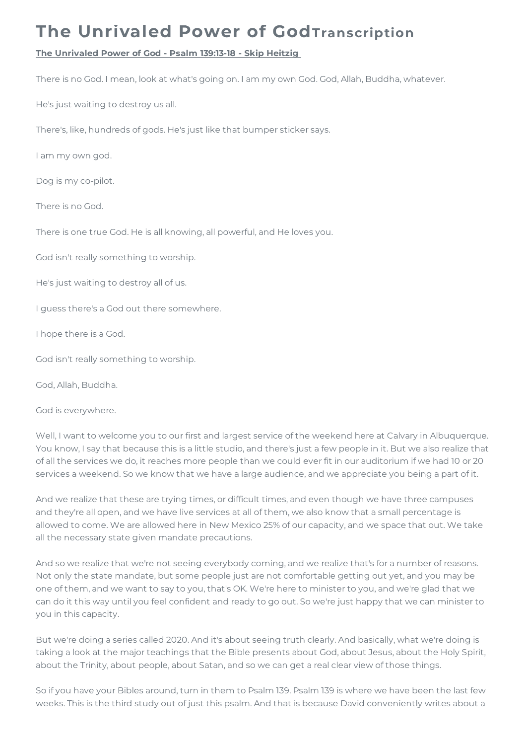## **The Unrivaled Power of GodTranscription**

## **The Unrivaled Power of God - Psalm 139:13-18 - Skip Heitzig**

There is no God. I mean, look at what's going on. I am my own God. God, Allah, Buddha, whatever.

He's just waiting to destroy us all.

There's, like, hundreds of gods. He's just like that bumper sticker says.

I am my own god.

Dog is my co-pilot.

There is no God.

There is one true God. He is all knowing, all powerful, and He loves you.

God isn't really something to worship.

He's just waiting to destroy all of us.

I guess there's a God out there somewhere.

I hope there is a God.

God isn't really something to worship.

God, Allah, Buddha.

God is everywhere.

Well, I want to welcome you to our first and largest service of the weekend here at Calvary in Albuquerque. You know, I say that because this is a little studio, and there's just a few people in it. But we also realize that of all the services we do, it reaches more people than we could ever fit in our auditorium if we had 10 or 20 services a weekend. So we know that we have a large audience, and we appreciate you being a part of it.

And we realize that these are trying times, or difficult times, and even though we have three campuses and they're all open, and we have live services at all of them, we also know that a small percentage is allowed to come. We are allowed here in New Mexico 25% of our capacity, and we space that out. We take all the necessary state given mandate precautions.

And so we realize that we're not seeing everybody coming, and we realize that's for a number of reasons. Not only the state mandate, but some people just are not comfortable getting out yet, and you may be one of them, and we want to say to you, that's OK. We're here to minister to you, and we're glad that we can do it this way until you feel confident and ready to go out. So we're just happy that we can minister to you in this capacity.

But we're doing a series called 2020. And it's about seeing truth clearly. And basically, what we're doing is taking a look at the major teachings that the Bible presents about God, about Jesus, about the Holy Spirit, about the Trinity, about people, about Satan, and so we can get a real clear view of those things.

So if you have your Bibles around, turn in them to Psalm 139. Psalm 139 is where we have been the last few weeks. This is the third study out of just this psalm. And that is because David conveniently writes about a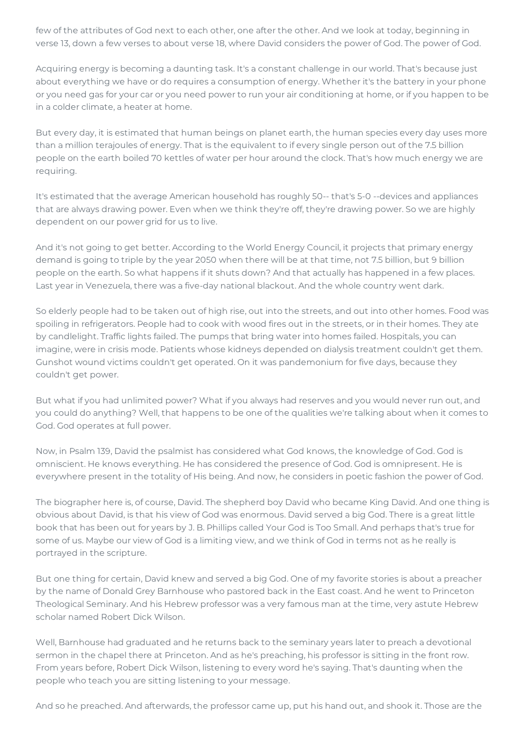few of the attributes of God next to each other, one after the other. And we look at today, beginning in verse 13, down a few verses to about verse 18, where David considers the power of God. The power of God.

Acquiring energy is becoming a daunting task. It's a constant challenge in our world. That's because just about everything we have or do requires a consumption of energy. Whether it's the battery in your phone or you need gas for your car or you need power to run your air conditioning at home, or if you happen to be in a colder climate, a heater at home.

But every day, it is estimated that human beings on planet earth, the human species every day uses more than a million terajoules of energy. That is the equivalent to if every single person out of the 7.5 billion people on the earth boiled 70 kettles of water per hour around the clock. That's how much energy we are requiring.

It's estimated that the average American household has roughly 50-- that's 5-0 --devices and appliances that are always drawing power. Even when we think they're off, they're drawing power. So we are highly dependent on our power grid for us to live.

And it's not going to get better. According to the World Energy Council, it projects that primary energy demand is going to triple by the year 2050 when there will be at that time, not 7.5 billion, but 9 billion people on the earth. So what happens if it shuts down? And that actually has happened in a few places. Last year in Venezuela, there was a five-day national blackout. And the whole country went dark.

So elderly people had to be taken out of high rise, out into the streets, and out into other homes. Food was spoiling in refrigerators. People had to cook with wood fires out in the streets, or in their homes. They ate by candlelight. Traffic lights failed. The pumps that bring water into homes failed. Hospitals, you can imagine, were in crisis mode. Patients whose kidneys depended on dialysis treatment couldn't get them. Gunshot wound victims couldn't get operated. On it was pandemonium for five days, because they couldn't get power.

But what if you had unlimited power? What if you always had reserves and you would never run out, and you could do anything? Well, that happens to be one of the qualities we're talking about when it comes to God. God operates at full power.

Now, in Psalm 139, David the psalmist has considered what God knows, the knowledge of God. God is omniscient. He knows everything. He has considered the presence of God. God is omnipresent. He is everywhere present in the totality of His being. And now, he considers in poetic fashion the power of God.

The biographer here is, of course, David. The shepherd boy David who became King David. And one thing is obvious about David, is that his view of God was enormous. David served a big God. There is a great little book that has been out for years by J. B. Phillips called Your God is Too Small. And perhaps that's true for some of us. Maybe our view of God is a limiting view, and we think of God in terms not as he really is portrayed in the scripture.

But one thing for certain, David knew and served a big God. One of my favorite stories is about a preacher by the name of Donald Grey Barnhouse who pastored back in the East coast. And he went to Princeton Theological Seminary. And his Hebrew professor was a very famous man at the time, very astute Hebrew scholar named Robert Dick Wilson.

Well, Barnhouse had graduated and he returns back to the seminary years later to preach a devotional sermon in the chapel there at Princeton. And as he's preaching, his professor is sitting in the front row. From years before, Robert Dick Wilson, listening to every word he's saying. That's daunting when the people who teach you are sitting listening to your message.

And so he preached. And afterwards, the professor came up, put his hand out, and shook it. Those are the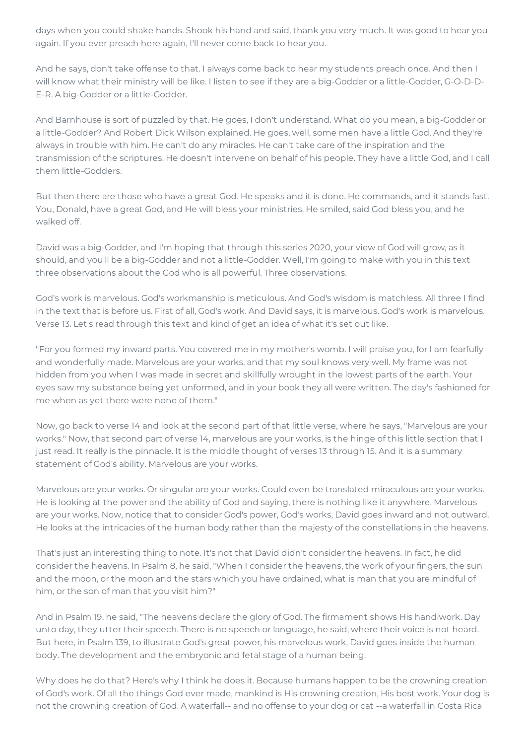days when you could shake hands. Shook his hand and said, thank you very much. It was good to hear you again. If you ever preach here again, I'll never come back to hear you.

And he says, don't take offense to that. I always come back to hear my students preach once. And then I will know what their ministry will be like. I listen to see if they are a big-Godder or a little-Godder, G-O-D-D-E-R. A big-Godder or a little-Godder.

And Barnhouse is sort of puzzled by that. He goes, I don't understand. What do you mean, a big-Godder or a little-Godder? And Robert Dick Wilson explained. He goes, well, some men have a little God. And they're always in trouble with him. He can't do any miracles. He can't take care of the inspiration and the transmission of the scriptures. He doesn't intervene on behalf of his people. They have a little God, and I call them little-Godders.

But then there are those who have a great God. He speaks and it is done. He commands, and it stands fast. You, Donald, have a great God, and He will bless your ministries. He smiled, said God bless you, and he walked off.

David was a big-Godder, and I'm hoping that through this series 2020, your view of God will grow, as it should, and you'll be a big-Godder and not a little-Godder. Well, I'm going to make with you in this text three observations about the God who is all powerful. Three observations.

God's work is marvelous. God's workmanship is meticulous. And God's wisdom is matchless. All three I find in the text that is before us. First of all, God's work. And David says, it is marvelous. God's work is marvelous. Verse 13. Let's read through this text and kind of get an idea of what it's set out like.

"For you formed my inward parts. You covered me in my mother's womb. I will praise you, for I am fearfully and wonderfully made. Marvelous are your works, and that my soul knows very well. My frame was not hidden from you when I was made in secret and skillfully wrought in the lowest parts of the earth. Your eyes saw my substance being yet unformed, and in your book they all were written. The day's fashioned for me when as yet there were none of them."

Now, go back to verse 14 and look at the second part of that little verse, where he says, "Marvelous are your works." Now, that second part of verse 14, marvelous are your works, is the hinge of this little section that I just read. It really is the pinnacle. It is the middle thought of verses 13 through 15. And it is a summary statement of God's ability. Marvelous are your works.

Marvelous are your works. Or singular are your works. Could even be translated miraculous are your works. He is looking at the power and the ability of God and saying, there is nothing like it anywhere. Marvelous are your works. Now, notice that to consider God's power, God's works, David goes inward and not outward. He looks at the intricacies of the human body rather than the majesty of the constellations in the heavens.

That's just an interesting thing to note. It's not that David didn't consider the heavens. In fact, he did consider the heavens. In Psalm 8, he said, "When I consider the heavens, the work of your fingers, the sun and the moon, or the moon and the stars which you have ordained, what is man that you are mindful of him, or the son of man that you visit him?"

And in Psalm 19, he said, "The heavens declare the glory of God. The firmament shows His handiwork. Day unto day, they utter their speech. There is no speech or language, he said, where their voice is not heard. But here, in Psalm 139, to illustrate God's great power, his marvelous work, David goes inside the human body. The development and the embryonic and fetal stage of a human being.

Why does he do that? Here's why I think he does it. Because humans happen to be the crowning creation of God's work. Of all the things God ever made, mankind is His crowning creation, His best work. Your dog is not the crowning creation of God. A waterfall-- and no offense to your dog or cat --a waterfall in Costa Rica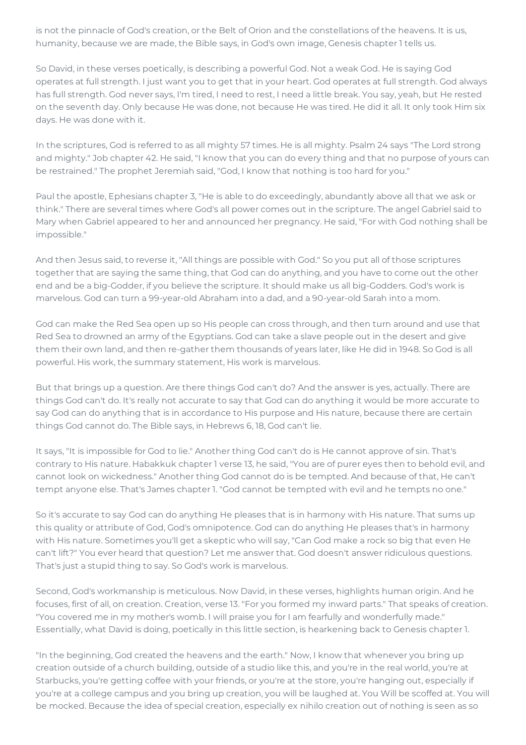is not the pinnacle of God's creation, or the Belt of Orion and the constellations of the heavens. It is us, humanity, because we are made, the Bible says, in God's own image, Genesis chapter 1 tells us.

So David, in these verses poetically, is describing a powerful God. Not a weak God. He is saying God operates at full strength. I just want you to get that in your heart. God operates at full strength. God always has full strength. God never says, I'm tired, I need to rest, I need a little break. You say, yeah, but He rested on the seventh day. Only because He was done, not because He was tired. He did it all. It only took Him six days. He was done with it.

In the scriptures, God is referred to as all mighty 57 times. He is all mighty. Psalm 24 says "The Lord strong and mighty." Job chapter 42. He said, "I know that you can do every thing and that no purpose of yours can be restrained." The prophet Jeremiah said, "God, I know that nothing is too hard for you."

Paul the apostle, Ephesians chapter 3, "He is able to do exceedingly, abundantly above all that we ask or think." There are several times where God's all power comes out in the scripture. The angel Gabriel said to Mary when Gabriel appeared to her and announced her pregnancy. He said, "For with God nothing shall be impossible."

And then Jesus said, to reverse it, "All things are possible with God." So you put all of those scriptures together that are saying the same thing, that God can do anything, and you have to come out the other end and be a big-Godder, if you believe the scripture. It should make us all big-Godders. God's work is marvelous. God can turn a 99-year-old Abraham into a dad, and a 90-year-old Sarah into a mom.

God can make the Red Sea open up so His people can cross through, and then turn around and use that Red Sea to drowned an army of the Egyptians. God can take a slave people out in the desert and give them their own land, and then re-gather them thousands of years later, like He did in 1948. So God is all powerful. His work, the summary statement, His work is marvelous.

But that brings up a question. Are there things God can't do? And the answer is yes, actually. There are things God can't do. It's really not accurate to say that God can do anything it would be more accurate to say God can do anything that is in accordance to His purpose and His nature, because there are certain things God cannot do. The Bible says, in Hebrews 6, 18, God can't lie.

It says, "It is impossible for God to lie." Another thing God can't do is He cannot approve of sin. That's contrary to His nature. Habakkuk chapter 1 verse 13, he said, "You are of purer eyes then to behold evil, and cannot look on wickedness." Another thing God cannot do is be tempted. And because of that, He can't tempt anyone else. That's James chapter 1. "God cannot be tempted with evil and he tempts no one."

So it's accurate to say God can do anything He pleases that is in harmony with His nature. That sums up this quality or attribute of God, God's omnipotence. God can do anything He pleases that's in harmony with His nature. Sometimes you'll get a skeptic who will say, "Can God make a rock so big that even He can't lift?" You ever heard that question? Let me answer that. God doesn't answer ridiculous questions. That's just a stupid thing to say. So God's work is marvelous.

Second, God's workmanship is meticulous. Now David, in these verses, highlights human origin. And he focuses, first of all, on creation. Creation, verse 13. "For you formed my inward parts." That speaks of creation. "You covered me in my mother's womb. I will praise you for I am fearfully and wonderfully made." Essentially, what David is doing, poetically in this little section, is hearkening back to Genesis chapter 1.

"In the beginning, God created the heavens and the earth." Now, I know that whenever you bring up creation outside of a church building, outside of a studio like this, and you're in the real world, you're at Starbucks, you're getting coffee with your friends, or you're at the store, you're hanging out, especially if you're at a college campus and you bring up creation, you will be laughed at. You Will be scoffed at. You will be mocked. Because the idea of special creation, especially ex nihilo creation out of nothing is seen as so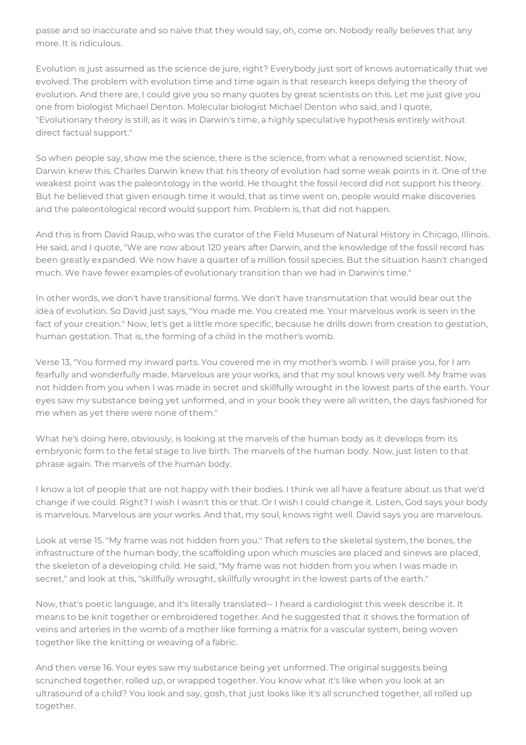passe and so inaccurate and so naive that they would say, oh, come on. Nobody really believes that any more. It is ridiculous.

Evolution is just assumed as the science de jure, right? Everybody just sort of knows automatically that we evolved. The problem with evolution time and time again is that research keeps defying the theory of evolution. And there are, I could give you so many quotes by great scientists on this. Let me just give you one from biologist Michael Denton. Molecular biologist Michael Denton who said, and I quote, "Evolutionary theory is still, as it was in Darwin's time, a highly speculative hypothesis entirely without direct factual support."

So when people say, show me the science, there is the science, from what a renowned scientist. Now, Darwin knew this. Charles Darwin knew that his theory of evolution had some weak points in it. One of the weakest point was the paleontology in the world. He thought the fossil record did not support his theory. But he believed that given enough time it would, that as time went on, people would make discoveries and the paleontological record would support him. Problem is, that did not happen.

And this is from David Raup, who was the curator of the Field Museum of Natural History in Chicago, Illinois. He said, and I quote, "We are now about 120 years after Darwin, and the knowledge of the fossil record has been greatly expanded. We now have a quarter of a million fossil species. But the situation hasn't changed much. We have fewer examples of evolutionary transition than we had in Darwin's time."

In other words, we don't have transitional forms. We don't have transmutation that would bear out the idea of evolution. So David just says, "You made me. You created me. Your marvelous work is seen in the fact of your creation." Now, let's get a little more specific, because he drills down from creation to gestation, human gestation. That is, the forming of a child in the mother's womb.

Verse 13, "You formed my inward parts. You covered me in my mother's womb. I will praise you, for I am fearfully and wonderfully made. Marvelous are your works, and that my soul knows very well. My frame was not hidden from you when I was made in secret and skillfully wrought in the lowest parts of the earth. Your eyes saw my substance being yet unformed, and in your book they were all written, the days fashioned for me when as yet there were none of them."

What he's doing here, obviously, is looking at the marvels of the human body as it develops from its embryonic form to the fetal stage to live birth. The marvels of the human body. Now, just listen to that phrase again. The marvels of the human body.

I know a lot of people that are not happy with their bodies. I think we all have a feature about us that we'd change if we could. Right? I wish I wasn't this or that. Or I wish I could change it. Listen, God says your body is marvelous. Marvelous are your works. And that, my soul, knows right well. David says you are marvelous.

Look at verse 15. "My frame was not hidden from you." That refers to the skeletal system, the bones, the infrastructure of the human body, the scaffolding upon which muscles are placed and sinews are placed, the skeleton of a developing child. He said, "My frame was not hidden from you when I was made in secret," and look at this, "skillfully wrought, skillfully wrought in the lowest parts of the earth."

Now, that's poetic language, and it's literally translated-- I heard a cardiologist this week describe it. It means to be knit together or embroidered together. And he suggested that it shows the formation of veins and arteries in the womb of a mother like forming a matrix for a vascular system, being woven together like the knitting or weaving of a fabric.

And then verse 16. Your eyes saw my substance being yet unformed. The original suggests being scrunched together, rolled up, or wrapped together. You know what it's like when you look at an ultrasound of a child? You look and say, gosh, that just looks like it's all scrunched together, all rolled up together.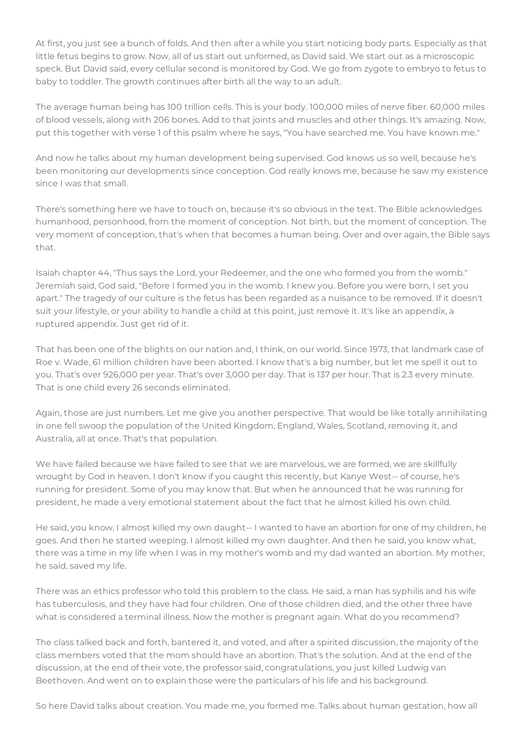At first, you just see a bunch of folds. And then after a while you start noticing body parts. Especially as that little fetus begins to grow. Now, all of us start out unformed, as David said. We start out as a microscopic speck. But David said, every cellular second is monitored by God. We go from zygote to embryo to fetus to baby to toddler. The growth continues after birth all the way to an adult.

The average human being has 100 trillion cells. This is your body. 100,000 miles of nerve fiber. 60,000 miles of blood vessels, along with 206 bones. Add to that joints and muscles and other things. It's amazing. Now, put this together with verse 1 of this psalm where he says, "You have searched me. You have known me."

And now he talks about my human development being supervised. God knows us so well, because he's been monitoring our developments since conception. God really knows me, because he saw my existence since I was that small.

There's something here we have to touch on, because it's so obvious in the text. The Bible acknowledges humanhood, personhood, from the moment of conception. Not birth, but the moment of conception. The very moment of conception, that's when that becomes a human being. Over and over again, the Bible says that.

Isaiah chapter 44, "Thus says the Lord, your Redeemer, and the one who formed you from the womb." Jeremiah said, God said, "Before I formed you in the womb. I knew you. Before you were born, I set you apart." The tragedy of our culture is the fetus has been regarded as a nuisance to be removed. If it doesn't suit your lifestyle, or your ability to handle a child at this point, just remove it. It's like an appendix, a ruptured appendix. Just get rid of it.

That has been one of the blights on our nation and, I think, on our world. Since 1973, that landmark case of Roe v. Wade, 61 million children have been aborted. I know that's a big number, but let me spell it out to you. That's over 926,000 per year. That's over 3,000 per day. That is 137 per hour. That is 2.3 every minute. That is one child every 26 seconds eliminated.

Again, those are just numbers. Let me give you another perspective. That would be like totally annihilating in one fell swoop the population of the United Kingdom, England, Wales, Scotland, removing it, and Australia, all at once. That's that population.

We have failed because we have failed to see that we are marvelous, we are formed, we are skillfully wrought by God in heaven. I don't know if you caught this recently, but Kanye West-- of course, he's running for president. Some of you may know that. But when he announced that he was running for president, he made a very emotional statement about the fact that he almost killed his own child.

He said, you know, I almost killed my own daught-- I wanted to have an abortion for one of my children, he goes. And then he started weeping. I almost killed my own daughter. And then he said, you know what, there was a time in my life when I was in my mother's womb and my dad wanted an abortion. My mother, he said, saved my life.

There was an ethics professor who told this problem to the class. He said, a man has syphilis and his wife has tuberculosis, and they have had four children. One of those children died, and the other three have what is considered a terminal illness. Now the mother is pregnant again. What do you recommend?

The class talked back and forth, bantered it, and voted, and after a spirited discussion, the majority of the class members voted that the mom should have an abortion. That's the solution. And at the end of the discussion, at the end of their vote, the professor said, congratulations, you just killed Ludwig van Beethoven. And went on to explain those were the particulars of his life and his background.

So here David talks about creation. You made me, you formed me. Talks about human gestation, how all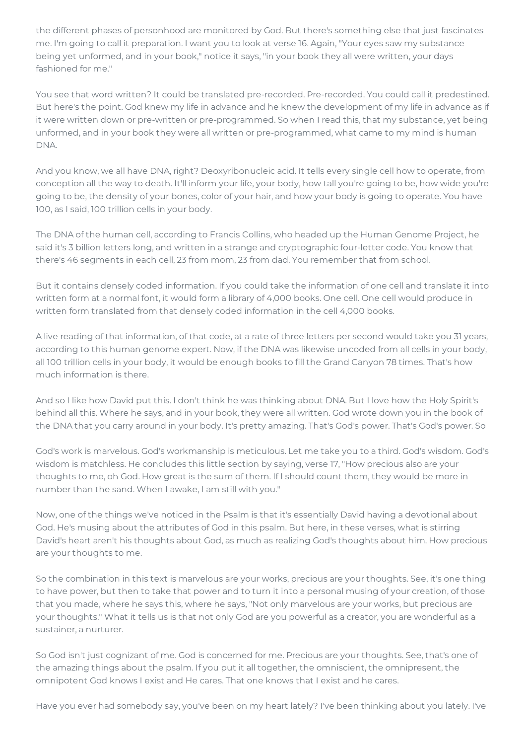the different phases of personhood are monitored by God. But there's something else that just fascinates me. I'm going to call it preparation. I want you to look at verse 16. Again, "Your eyes saw my substance being yet unformed, and in your book," notice it says, "in your book they all were written, your days fashioned for me."

You see that word written? It could be translated pre-recorded. Pre-recorded. You could call it predestined. But here's the point. God knew my life in advance and he knew the development of my life in advance as if it were written down or pre-written or pre-programmed. So when I read this, that my substance, yet being unformed, and in your book they were all written or pre-programmed, what came to my mind is human DNA.

And you know, we all have DNA, right? Deoxyribonucleic acid. It tells every single cell how to operate, from conception all the way to death. It'll inform your life, your body, how tall you're going to be, how wide you're going to be, the density of your bones, color of your hair, and how your body is going to operate. You have 100, as I said, 100 trillion cells in your body.

The DNA of the human cell, according to Francis Collins, who headed up the Human Genome Project, he said it's 3 billion letters long, and written in a strange and cryptographic four-letter code. You know that there's 46 segments in each cell, 23 from mom, 23 from dad. You remember that from school.

But it contains densely coded information. If you could take the information of one cell and translate it into written form at a normal font, it would form a library of 4,000 books. One cell. One cell would produce in written form translated from that densely coded information in the cell 4,000 books.

A live reading of that information, of that code, at a rate of three letters per second would take you 31 years, according to this human genome expert. Now, if the DNA was likewise uncoded from all cells in your body, all 100 trillion cells in your body, it would be enough books to fill the Grand Canyon 78 times. That's how much information is there.

And so I like how David put this. I don't think he was thinking about DNA. But I love how the Holy Spirit's behind all this. Where he says, and in your book, they were all written. God wrote down you in the book of the DNA that you carry around in your body. It's pretty amazing. That's God's power. That's God's power. So

God's work is marvelous. God's workmanship is meticulous. Let me take you to a third. God's wisdom. God's wisdom is matchless. He concludes this little section by saying, verse 17, "How precious also are your thoughts to me, oh God. How great is the sum of them. If I should count them, they would be more in number than the sand. When I awake, I am still with you."

Now, one of the things we've noticed in the Psalm is that it's essentially David having a devotional about God. He's musing about the attributes of God in this psalm. But here, in these verses, what is stirring David's heart aren't his thoughts about God, as much as realizing God's thoughts about him. How precious are your thoughts to me.

So the combination in this text is marvelous are your works, precious are your thoughts. See, it's one thing to have power, but then to take that power and to turn it into a personal musing of your creation, of those that you made, where he says this, where he says, "Not only marvelous are your works, but precious are your thoughts." What it tells us is that not only God are you powerful as a creator, you are wonderful as a sustainer, a nurturer.

So God isn't just cognizant of me. God is concerned for me. Precious are your thoughts. See, that's one of the amazing things about the psalm. If you put it all together, the omniscient, the omnipresent, the omnipotent God knows I exist and He cares. That one knows that I exist and he cares.

Have you ever had somebody say, you've been on my heart lately? I've been thinking about you lately. I've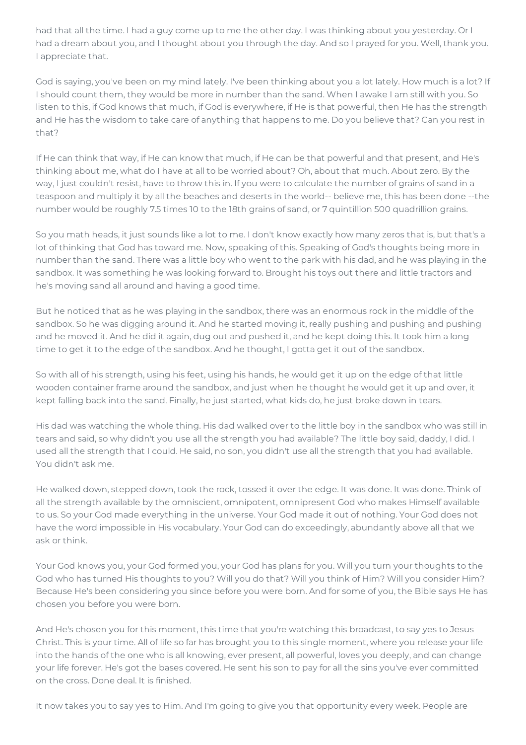had that all the time. I had a guy come up to me the other day. I was thinking about you yesterday. Or I had a dream about you, and I thought about you through the day. And so I prayed for you. Well, thank you. I appreciate that.

God is saying, you've been on my mind lately. I've been thinking about you a lot lately. How much is a lot? If I should count them, they would be more in number than the sand. When I awake I am still with you. So listen to this, if God knows that much, if God is everywhere, if He is that powerful, then He has the strength and He has the wisdom to take care of anything that happens to me. Do you believe that? Can you rest in that?

If He can think that way, if He can know that much, if He can be that powerful and that present, and He's thinking about me, what do I have at all to be worried about? Oh, about that much. About zero. By the way, I just couldn't resist, have to throw this in. If you were to calculate the number of grains of sand in a teaspoon and multiply it by all the beaches and deserts in the world-- believe me, this has been done --the number would be roughly 7.5 times 10 to the 18th grains of sand, or 7 quintillion 500 quadrillion grains.

So you math heads, it just sounds like a lot to me. I don't know exactly how many zeros that is, but that's a lot of thinking that God has toward me. Now, speaking of this. Speaking of God's thoughts being more in number than the sand. There was a little boy who went to the park with his dad, and he was playing in the sandbox. It was something he was looking forward to. Brought his toys out there and little tractors and he's moving sand all around and having a good time.

But he noticed that as he was playing in the sandbox, there was an enormous rock in the middle of the sandbox. So he was digging around it. And he started moving it, really pushing and pushing and pushing and he moved it. And he did it again, dug out and pushed it, and he kept doing this. It took him a long time to get it to the edge of the sandbox. And he thought, I gotta get it out of the sandbox.

So with all of his strength, using his feet, using his hands, he would get it up on the edge of that little wooden container frame around the sandbox, and just when he thought he would get it up and over, it kept falling back into the sand. Finally, he just started, what kids do, he just broke down in tears.

His dad was watching the whole thing. His dad walked over to the little boy in the sandbox who was still in tears and said, so why didn't you use all the strength you had available? The little boy said, daddy, I did. I used all the strength that I could. He said, no son, you didn't use all the strength that you had available. You didn't ask me.

He walked down, stepped down, took the rock, tossed it over the edge. It was done. It was done. Think of all the strength available by the omniscient, omnipotent, omnipresent God who makes Himself available to us. So your God made everything in the universe. Your God made it out of nothing. Your God does not have the word impossible in His vocabulary. Your God can do exceedingly, abundantly above all that we ask or think.

Your God knows you, your God formed you, your God has plans for you. Will you turn your thoughts to the God who has turned His thoughts to you? Will you do that? Will you think of Him? Will you consider Him? Because He's been considering you since before you were born. And for some of you, the Bible says He has chosen you before you were born.

And He's chosen you for this moment, this time that you're watching this broadcast, to say yes to Jesus Christ. This is your time. All of life so far has brought you to this single moment, where you release your life into the hands of the one who is all knowing, ever present, all powerful, loves you deeply, and can change your life forever. He's got the bases covered. He sent his son to pay for all the sins you've ever committed on the cross. Done deal. It is finished.

It now takes you to say yes to Him. And I'm going to give you that opportunity every week. People are